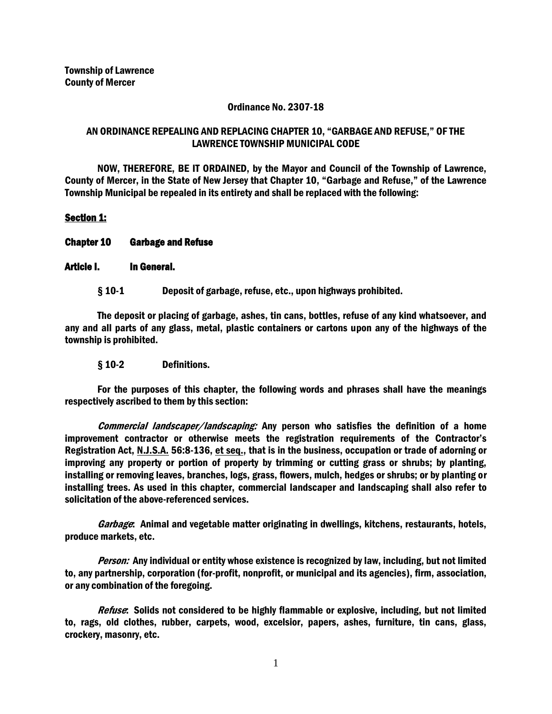### Ordinance No. 2307-18

# AN ORDINANCE REPEALING AND REPLACING CHAPTER 10, "GARBAGE AND REFUSE," OF THE LAWRENCE TOWNSHIP MUNICIPAL CODE

NOW, THEREFORE, BE IT ORDAINED, by the Mayor and Council of the Township of Lawrence, County of Mercer, in the State of New Jersey that Chapter 10, "Garbage and Refuse," of the Lawrence Township Municipal be repealed in its entirety and shall be replaced with the following:

# Section 1:

### Chapter 10 Garbage and Refuse

### Article I. In General.

§ 10-1 Deposit of garbage, refuse, etc., upon highways prohibited.

The deposit or placing of garbage, ashes, tin cans, bottles, refuse of any kind whatsoever, and any and all parts of any glass, metal, plastic containers or cartons upon any of the highways of the township is prohibited.

#### § 10-2 Definitions.

For the purposes of this chapter, the following words and phrases shall have the meanings respectively ascribed to them by this section:

Commercial landscaper/landscaping: Any person who satisfies the definition of a home improvement contractor or otherwise meets the registration requirements of the Contractor's Registration Act, N.J.S.A. 56:8-136, et seq., that is in the business, occupation or trade of adorning or improving any property or portion of property by trimming or cutting grass or shrubs; by planting, installing or removing leaves, branches, logs, grass, flowers, mulch, hedges or shrubs; or by planting or installing trees. As used in this chapter, commercial landscaper and landscaping shall also refer to solicitation of the above-referenced services.

Garbage: Animal and vegetable matter originating in dwellings, kitchens, restaurants, hotels, produce markets, etc.

Person: Any individual or entity whose existence is recognized by law, including, but not limited to, any partnership, corporation (for-profit, nonprofit, or municipal and its agencies), firm, association, or any combination of the foregoing.

Refuse: Solids not considered to be highly flammable or explosive, including, but not limited to, rags, old clothes, rubber, carpets, wood, excelsior, papers, ashes, furniture, tin cans, glass, crockery, masonry, etc.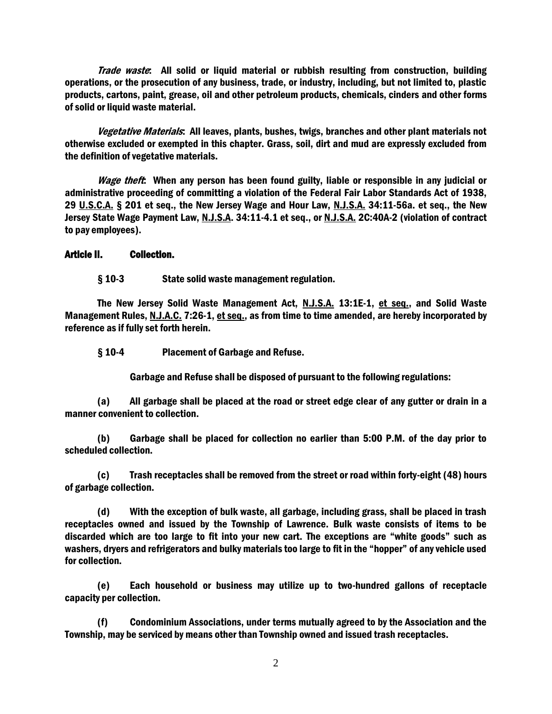Trade waste: All solid or liquid material or rubbish resulting from construction, building operations, or the prosecution of any business, trade, or industry, including, but not limited to, plastic products, cartons, paint, grease, oil and other petroleum products, chemicals, cinders and other forms of solid or liquid waste material.

Vegetative Materials: All leaves, plants, bushes, twigs, branches and other plant materials not otherwise excluded or exempted in this chapter. Grass, soil, dirt and mud are expressly excluded from the definition of vegetative materials.

Wage theft: When any person has been found guilty, liable or responsible in any judicial or administrative proceeding of committing a violation of the Federal Fair Labor Standards Act of 1938, 29 U.S.C.A. § 201 et seq., the New Jersey Wage and Hour Law, N.J.S.A. 34:11-56a. et seq., the New Jersey State Wage Payment Law, N.J.S.A. 34:11-4.1 et seq., or N.J.S.A. 2C:40A-2 (violation of contract to pay employees).

Article II. Collection.

§ 10-3 State solid waste management regulation.

The New Jersey Solid Waste Management Act, N.J.S.A. 13:1E-1, et seq., and Solid Waste Management Rules, N.J.A.C. 7:26-1, et seq., as from time to time amended, are hereby incorporated by reference as if fully set forth herein.

§ 10-4 Placement of Garbage and Refuse.

Garbage and Refuse shall be disposed of pursuant to the following regulations:

(a) All garbage shall be placed at the road or street edge clear of any gutter or drain in a manner convenient to collection.

(b) Garbage shall be placed for collection no earlier than 5:00 P.M. of the day prior to scheduled collection.

(c) Trash receptacles shall be removed from the street or road within forty-eight (48) hours of garbage collection.

(d) With the exception of bulk waste, all garbage, including grass, shall be placed in trash receptacles owned and issued by the Township of Lawrence. Bulk waste consists of items to be discarded which are too large to fit into your new cart. The exceptions are "white goods" such as washers, dryers and refrigerators and bulky materials too large to fit in the "hopper" of any vehicle used for collection.

(e) Each household or business may utilize up to two-hundred gallons of receptacle capacity per collection.

(f) Condominium Associations, under terms mutually agreed to by the Association and the Township, may be serviced by means other than Township owned and issued trash receptacles.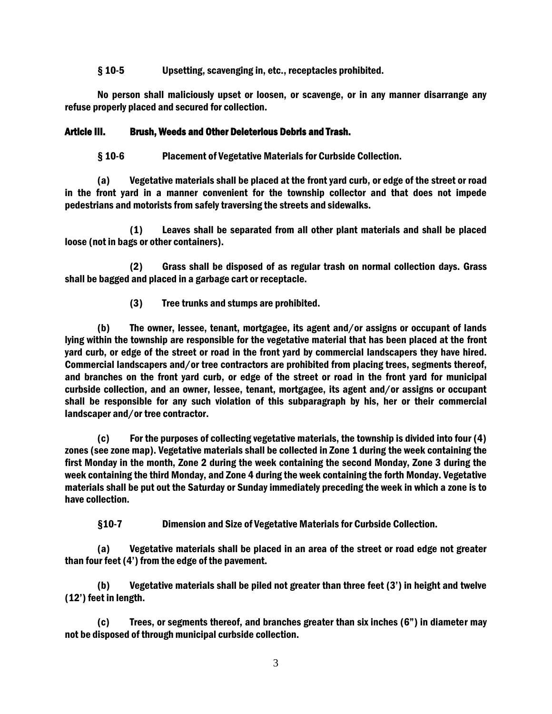### § 10-5 Upsetting, scavenging in, etc., receptacles prohibited.

No person shall maliciously upset or loosen, or scavenge, or in any manner disarrange any refuse properly placed and secured for collection.

# Article III. Brush, Weeds and Other Deleterious Debris and Trash.

§ 10-6 Placement of Vegetative Materials for Curbside Collection.

(a) Vegetative materials shall be placed at the front yard curb, or edge of the street or road in the front yard in a manner convenient for the township collector and that does not impede pedestrians and motorists from safely traversing the streets and sidewalks.

(1) Leaves shall be separated from all other plant materials and shall be placed loose (not in bags or other containers).

(2) Grass shall be disposed of as regular trash on normal collection days. Grass shall be bagged and placed in a garbage cart or receptacle.

(3) Tree trunks and stumps are prohibited.

(b) The owner, lessee, tenant, mortgagee, its agent and/or assigns or occupant of lands lying within the township are responsible for the vegetative material that has been placed at the front yard curb, or edge of the street or road in the front yard by commercial landscapers they have hired. Commercial landscapers and/or tree contractors are prohibited from placing trees, segments thereof, and branches on the front yard curb, or edge of the street or road in the front yard for municipal curbside collection, and an owner, lessee, tenant, mortgagee, its agent and/or assigns or occupant shall be responsible for any such violation of this subparagraph by his, her or their commercial landscaper and/or tree contractor.

(c) For the purposes of collecting vegetative materials, the township is divided into four (4) zones (see zone map). Vegetative materials shall be collected in Zone 1 during the week containing the first Monday in the month, Zone 2 during the week containing the second Monday, Zone 3 during the week containing the third Monday, and Zone 4 during the week containing the forth Monday. Vegetative materials shall be put out the Saturday or Sunday immediately preceding the week in which a zone is to have collection.

§10-7 Dimension and Size of Vegetative Materials for Curbside Collection.

(a) Vegetative materials shall be placed in an area of the street or road edge not greater than four feet (4') from the edge of the pavement.

(b) Vegetative materials shall be piled not greater than three feet (3') in height and twelve (12') feet in length.

(c) Trees, or segments thereof, and branches greater than six inches (6") in diameter may not be disposed of through municipal curbside collection.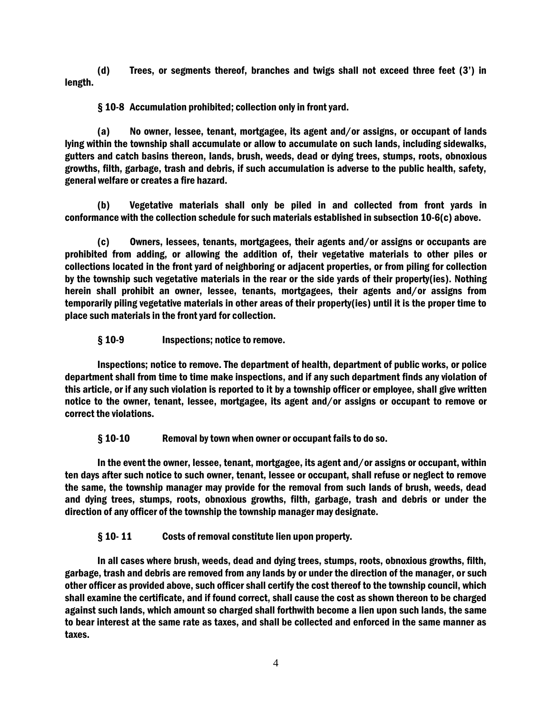(d) Trees, or segments thereof, branches and twigs shall not exceed three feet (3') in length.

§ 10-8 Accumulation prohibited; collection only in front yard.

(a) No owner, lessee, tenant, mortgagee, its agent and/or assigns, or occupant of lands lying within the township shall accumulate or allow to accumulate on such lands, including sidewalks, gutters and catch basins thereon, lands, brush, weeds, dead or dying trees, stumps, roots, obnoxious growths, filth, garbage, trash and debris, if such accumulation is adverse to the public health, safety, general welfare or creates a fire hazard.

(b) Vegetative materials shall only be piled in and collected from front yards in conformance with the collection schedule for such materials established in subsection 10-6(c) above.

(c) Owners, lessees, tenants, mortgagees, their agents and/or assigns or occupants are prohibited from adding, or allowing the addition of, their vegetative materials to other piles or collections located in the front yard of neighboring or adjacent properties, or from piling for collection by the township such vegetative materials in the rear or the side yards of their property(ies). Nothing herein shall prohibit an owner, lessee, tenants, mortgagees, their agents and/or assigns from temporarily piling vegetative materials in other areas of their property(ies) until it is the proper time to place such materials in the front yard for collection.

§ 10-9 Inspections; notice to remove.

Inspections; notice to remove. The department of health, department of public works, or police department shall from time to time make inspections, and if any such department finds any violation of this article, or if any such violation is reported to it by a township officer or employee, shall give written notice to the owner, tenant, lessee, mortgagee, its agent and/or assigns or occupant to remove or correct the violations.

§ 10-10 Removal by town when owner or occupant fails to do so.

In the event the owner, lessee, tenant, mortgagee, its agent and/or assigns or occupant, within ten days after such notice to such owner, tenant, lessee or occupant, shall refuse or neglect to remove the same, the township manager may provide for the removal from such lands of brush, weeds, dead and dying trees, stumps, roots, obnoxious growths, filth, garbage, trash and debris or under the direction of any officer of the township the township manager may designate.

§ 10- 11 Costs of removal constitute lien upon property.

In all cases where brush, weeds, dead and dying trees, stumps, roots, obnoxious growths, filth, garbage, trash and debris are removed from any lands by or under the direction of the manager, or such other officer as provided above, such officer shall certify the cost thereof to the township council, which shall examine the certificate, and if found correct, shall cause the cost as shown thereon to be charged against such lands, which amount so charged shall forthwith become a lien upon such lands, the same to bear interest at the same rate as taxes, and shall be collected and enforced in the same manner as taxes.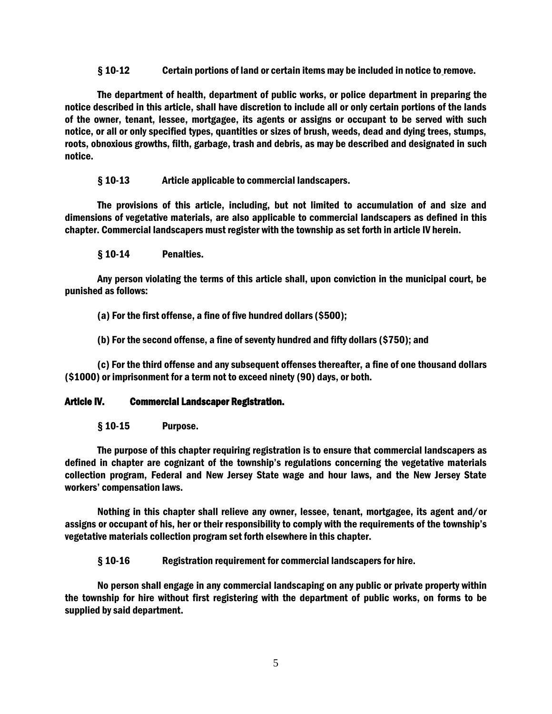§ 10-12 Certain portions of land or certain items may be included in notice to remove.

The department of health, department of public works, or police department in preparing the notice described in this article, shall have discretion to include all or only certain portions of the lands of the owner, tenant, lessee, mortgagee, its agents or assigns or occupant to be served with such notice, or all or only specified types, quantities or sizes of brush, weeds, dead and dying trees, stumps, roots, obnoxious growths, filth, garbage, trash and debris, as may be described and designated in such notice.

§ 10-13 Article applicable to commercial landscapers.

The provisions of this article, including, but not limited to accumulation of and size and dimensions of vegetative materials, are also applicable to commercial landscapers as defined in this chapter. Commercial landscapers must register with the township as set forth in article IV herein.

§ 10-14 Penalties.

Any person violating the terms of this article shall, upon conviction in the municipal court, be punished as follows:

(a) For the first offense, a fine of five hundred dollars (\$500);

(b) For the second offense, a fine of seventy hundred and fifty dollars (\$750); and

(c) For the third offense and any subsequent offenses thereafter, a fine of one thousand dollars (\$1000) or imprisonment for a term not to exceed ninety (90) days, or both.

# Article IV. Commercial Landscaper Registration.

§ 10-15 Purpose.

The purpose of this chapter requiring registration is to ensure that commercial landscapers as defined in chapter are cognizant of the township's regulations concerning the vegetative materials collection program, Federal and New Jersey State wage and hour laws, and the New Jersey State workers' compensation laws.

Nothing in this chapter shall relieve any owner, lessee, tenant, mortgagee, its agent and/or assigns or occupant of his, her or their responsibility to comply with the requirements of the township's vegetative materials collection program set forth elsewhere in this chapter.

§ 10-16 Registration requirement for commercial landscapers for hire.

No person shall engage in any commercial landscaping on any public or private property within the township for hire without first registering with the department of public works, on forms to be supplied by said department.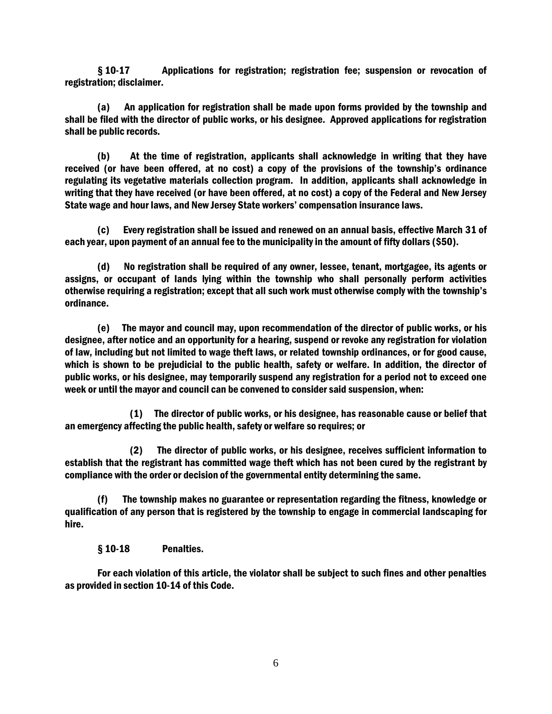§ 10-17 Applications for registration; registration fee; suspension or revocation of registration; disclaimer.

(a) An application for registration shall be made upon forms provided by the township and shall be filed with the director of public works, or his designee. Approved applications for registration shall be public records.

(b) At the time of registration, applicants shall acknowledge in writing that they have received (or have been offered, at no cost) a copy of the provisions of the township's ordinance regulating its vegetative materials collection program. In addition, applicants shall acknowledge in writing that they have received (or have been offered, at no cost) a copy of the Federal and New Jersey State wage and hour laws, and New Jersey State workers' compensation insurance laws.

(c) Every registration shall be issued and renewed on an annual basis, effective March 31 of each year, upon payment of an annual fee to the municipality in the amount of fifty dollars (\$50).

(d) No registration shall be required of any owner, lessee, tenant, mortgagee, its agents or assigns, or occupant of lands lying within the township who shall personally perform activities otherwise requiring a registration; except that all such work must otherwise comply with the township's ordinance.

(e) The mayor and council may, upon recommendation of the director of public works, or his designee, after notice and an opportunity for a hearing, suspend or revoke any registration for violation of law, including but not limited to wage theft laws, or related township ordinances, or for good cause, which is shown to be prejudicial to the public health, safety or welfare. In addition, the director of public works, or his designee, may temporarily suspend any registration for a period not to exceed one week or until the mayor and council can be convened to consider said suspension, when:

(1) The director of public works, or his designee, has reasonable cause or belief that an emergency affecting the public health, safety or welfare so requires; or

(2) The director of public works, or his designee, receives sufficient information to establish that the registrant has committed wage theft which has not been cured by the registrant by compliance with the order or decision of the governmental entity determining the same.

(f) The township makes no guarantee or representation regarding the fitness, knowledge or qualification of any person that is registered by the township to engage in commercial landscaping for hire.

§ 10-18 Penalties.

For each violation of this article, the violator shall be subject to such fines and other penalties as provided in section 10-14 of this Code.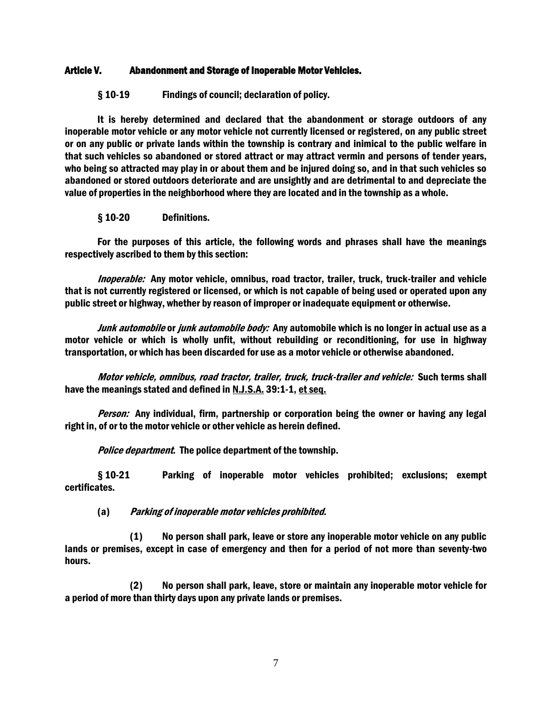### Article V. Abandonment and Storage of Inoperable Motor Vehicles.

§ 10-19 Findings of council; declaration of policy.

It is hereby determined and declared that the abandonment or storage outdoors of any inoperable motor vehicle or any motor vehicle not currently licensed or registered, on any public street or on any public or private lands within the township is contrary and inimical to the public welfare in that such vehicles so abandoned or stored attract or may attract vermin and persons of tender years, who being so attracted may play in or about them and be injured doing so, and in that such vehicles so abandoned or stored outdoors deteriorate and are unsightly and are detrimental to and depreciate the value of properties in the neighborhood where they are located and in the township as a whole.

§ 10-20 Definitions.

For the purposes of this article, the following words and phrases shall have the meanings respectively ascribed to them by this section:

Inoperable: Any motor vehicle, omnibus, road tractor, trailer, truck, truck-trailer and vehicle that is not currently registered or licensed, or which is not capable of being used or operated upon any public street or highway, whether by reason of improper or inadequate equipment or otherwise.

Junk automobile or junk automobile body: Any automobile which is no longer in actual use as a motor vehicle or which is wholly unfit, without rebuilding or reconditioning, for use in highway transportation, or which has been discarded for use as a motor vehicle or otherwise abandoned.

Motor vehicle, omnibus, road tractor, trailer, truck, truck-trailer and vehicle: Such terms shall have the meanings stated and defined in N.J.S.A. 39:1-1, et seq.

Person: Any individual, firm, partnership or corporation being the owner or having any legal right in, of or to the motor vehicle or other vehicle as herein defined.

Police department. The police department of the township.

§ 10-21 Parking of inoperable motor vehicles prohibited; exclusions; exempt certificates.

(a) Parking of inoperable motor vehicles prohibited.

(1) No person shall park, leave or store any inoperable motor vehicle on any public lands or premises, except in case of emergency and then for a period of not more than seventy-two hours.

(2) No person shall park, leave, store or maintain any inoperable motor vehicle for a period of more than thirty days upon any private lands or premises.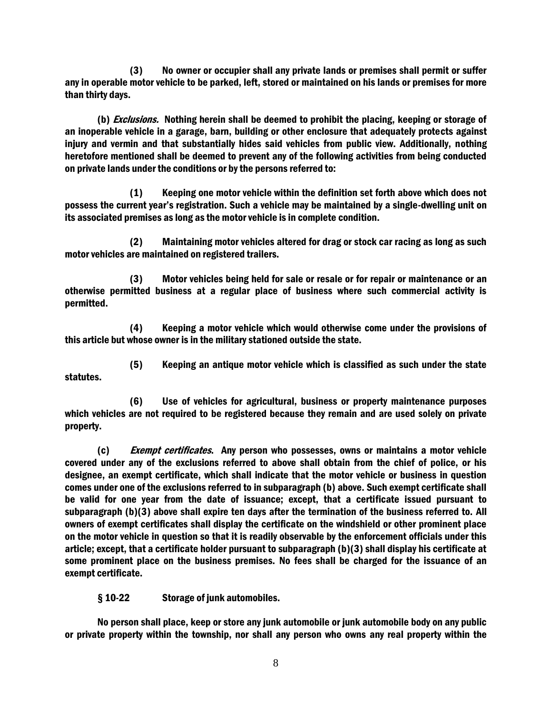(3) No owner or occupier shall any private lands or premises shall permit or suffer any in operable motor vehicle to be parked, left, stored or maintained on his lands or premises for more than thirty days.

(b) *Exclusions.* Nothing herein shall be deemed to prohibit the placing, keeping or storage of an inoperable vehicle in a garage, barn, building or other enclosure that adequately protects against injury and vermin and that substantially hides said vehicles from public view. Additionally, nothing heretofore mentioned shall be deemed to prevent any of the following activities from being conducted on private lands under the conditions or by the persons referred to:

(1) Keeping one motor vehicle within the definition set forth above which does not possess the current year's registration. Such a vehicle may be maintained by a single-dwelling unit on its associated premises as long as the motor vehicle is in complete condition.

(2) Maintaining motor vehicles altered for drag or stock car racing as long as such motor vehicles are maintained on registered trailers.

(3) Motor vehicles being held for sale or resale or for repair or maintenance or an otherwise permitted business at a regular place of business where such commercial activity is permitted.

(4) Keeping a motor vehicle which would otherwise come under the provisions of this article but whose owner is in the military stationed outside the state.

statutes.

(5) Keeping an antique motor vehicle which is classified as such under the state

(6) Use of vehicles for agricultural, business or property maintenance purposes which vehicles are not required to be registered because they remain and are used solely on private property.

(c) Exempt certificates. Any person who possesses, owns or maintains a motor vehicle covered under any of the exclusions referred to above shall obtain from the chief of police, or his designee, an exempt certificate, which shall indicate that the motor vehicle or business in question comes under one of the exclusions referred to in subparagraph (b) above. Such exempt certificate shall be valid for one year from the date of issuance; except, that a certificate issued pursuant to subparagraph (b)(3) above shall expire ten days after the termination of the business referred to. All owners of exempt certificates shall display the certificate on the windshield or other prominent place on the motor vehicle in question so that it is readily observable by the enforcement officials under this article; except, that a certificate holder pursuant to subparagraph (b)(3) shall display his certificate at some prominent place on the business premises. No fees shall be charged for the issuance of an exempt certificate.

§ 10-22 Storage of junk automobiles.

No person shall place, keep or store any junk automobile or junk automobile body on any public or private property within the township, nor shall any person who owns any real property within the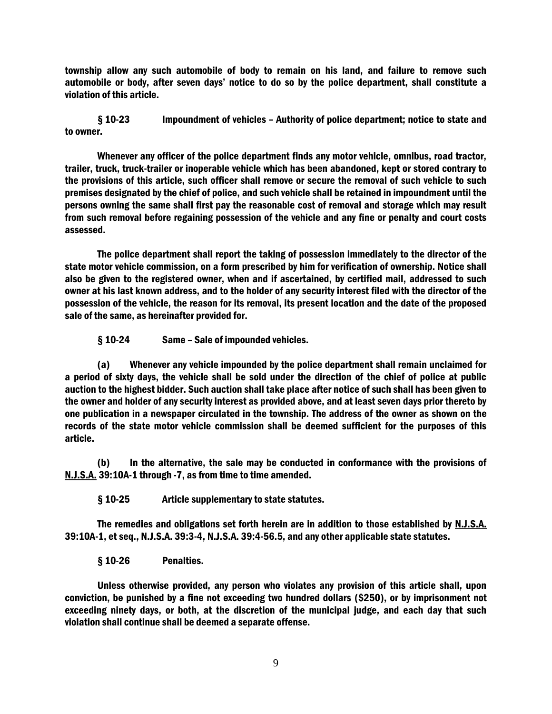township allow any such automobile of body to remain on his land, and failure to remove such automobile or body, after seven days' notice to do so by the police department, shall constitute a violation of this article.

§ 10-23 Impoundment of vehicles – Authority of police department; notice to state and to owner.

Whenever any officer of the police department finds any motor vehicle, omnibus, road tractor, trailer, truck, truck-trailer or inoperable vehicle which has been abandoned, kept or stored contrary to the provisions of this article, such officer shall remove or secure the removal of such vehicle to such premises designated by the chief of police, and such vehicle shall be retained in impoundment until the persons owning the same shall first pay the reasonable cost of removal and storage which may result from such removal before regaining possession of the vehicle and any fine or penalty and court costs assessed.

The police department shall report the taking of possession immediately to the director of the state motor vehicle commission, on a form prescribed by him for verification of ownership. Notice shall also be given to the registered owner, when and if ascertained, by certified mail, addressed to such owner at his last known address, and to the holder of any security interest filed with the director of the possession of the vehicle, the reason for its removal, its present location and the date of the proposed sale of the same, as hereinafter provided for.

§ 10-24 Same – Sale of impounded vehicles.

(a) Whenever any vehicle impounded by the police department shall remain unclaimed for a period of sixty days, the vehicle shall be sold under the direction of the chief of police at public auction to the highest bidder. Such auction shall take place after notice of such shall has been given to the owner and holder of any security interest as provided above, and at least seven days prior thereto by one publication in a newspaper circulated in the township. The address of the owner as shown on the records of the state motor vehicle commission shall be deemed sufficient for the purposes of this article.

(b) In the alternative, the sale may be conducted in conformance with the provisions of N.J.S.A. 39:10A-1 through -7, as from time to time amended.

§ 10-25 Article supplementary to state statutes.

The remedies and obligations set forth herein are in addition to those established by N.J.S.A. 39:10A-1, et seq., N.J.S.A. 39:3-4, N.J.S.A. 39:4-56.5, and any other applicable state statutes.

§ 10-26 Penalties.

Unless otherwise provided, any person who violates any provision of this article shall, upon conviction, be punished by a fine not exceeding two hundred dollars (\$250), or by imprisonment not exceeding ninety days, or both, at the discretion of the municipal judge, and each day that such violation shall continue shall be deemed a separate offense.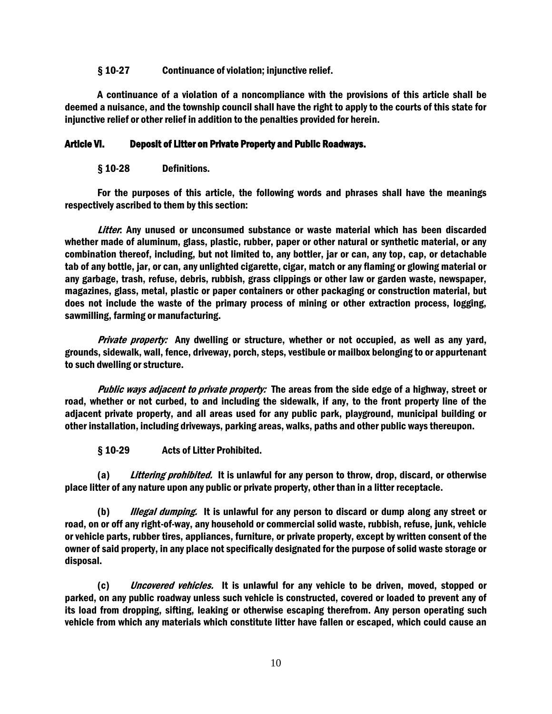### § 10-27 Continuance of violation; injunctive relief.

A continuance of a violation of a noncompliance with the provisions of this article shall be deemed a nuisance, and the township council shall have the right to apply to the courts of this state for injunctive relief or other relief in addition to the penalties provided for herein.

# Article VI. Deposit of Litter on Private Property and Public Roadways.

### § 10-28 Definitions.

For the purposes of this article, the following words and phrases shall have the meanings respectively ascribed to them by this section:

Litter. Any unused or unconsumed substance or waste material which has been discarded whether made of aluminum, glass, plastic, rubber, paper or other natural or synthetic material, or any combination thereof, including, but not limited to, any bottler, jar or can, any top, cap, or detachable tab of any bottle, jar, or can, any unlighted cigarette, cigar, match or any flaming or glowing material or any garbage, trash, refuse, debris, rubbish, grass clippings or other law or garden waste, newspaper, magazines, glass, metal, plastic or paper containers or other packaging or construction material, but does not include the waste of the primary process of mining or other extraction process, logging, sawmilling, farming or manufacturing.

Private property: Any dwelling or structure, whether or not occupied, as well as any yard, grounds, sidewalk, wall, fence, driveway, porch, steps, vestibule or mailbox belonging to or appurtenant to such dwelling or structure.

Public ways adjacent to private property: The areas from the side edge of a highway, street or road, whether or not curbed, to and including the sidewalk, if any, to the front property line of the adjacent private property, and all areas used for any public park, playground, municipal building or other installation, including driveways, parking areas, walks, paths and other public ways thereupon.

§ 10-29 Acts of Litter Prohibited.

(a) Littering prohibited. It is unlawful for any person to throw, drop, discard, or otherwise place litter of any nature upon any public or private property, other than in a litter receptacle.

(b) *Illegal dumping.* It is unlawful for any person to discard or dump along any street or road, on or off any right-of-way, any household or commercial solid waste, rubbish, refuse, junk, vehicle or vehicle parts, rubber tires, appliances, furniture, or private property, except by written consent of the owner of said property, in any place not specifically designated for the purpose of solid waste storage or disposal.

(c) Uncovered vehicles. It is unlawful for any vehicle to be driven, moved, stopped or parked, on any public roadway unless such vehicle is constructed, covered or loaded to prevent any of its load from dropping, sifting, leaking or otherwise escaping therefrom. Any person operating such vehicle from which any materials which constitute litter have fallen or escaped, which could cause an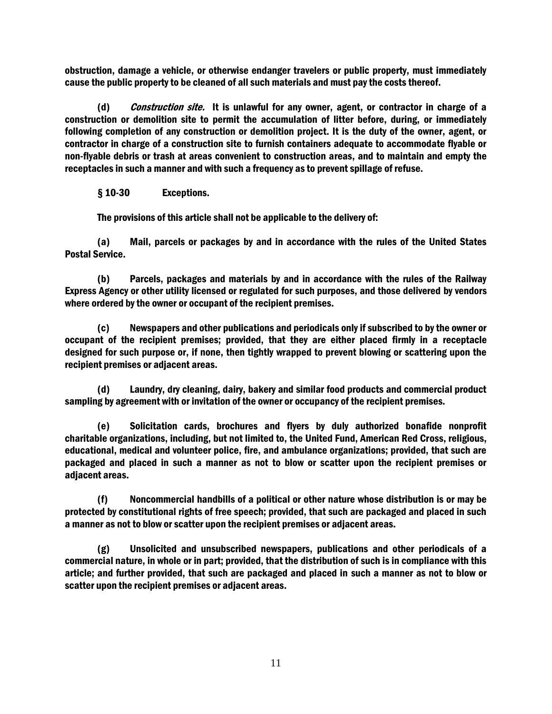obstruction, damage a vehicle, or otherwise endanger travelers or public property, must immediately cause the public property to be cleaned of all such materials and must pay the costs thereof.

(d) *Construction site.* It is unlawful for any owner, agent, or contractor in charge of a construction or demolition site to permit the accumulation of litter before, during, or immediately following completion of any construction or demolition project. It is the duty of the owner, agent, or contractor in charge of a construction site to furnish containers adequate to accommodate flyable or non-flyable debris or trash at areas convenient to construction areas, and to maintain and empty the receptacles in such a manner and with such a frequency as to prevent spillage of refuse.

§ 10-30 Exceptions.

The provisions of this article shall not be applicable to the delivery of:

(a) Mail, parcels or packages by and in accordance with the rules of the United States Postal Service.

(b) Parcels, packages and materials by and in accordance with the rules of the Railway Express Agency or other utility licensed or regulated for such purposes, and those delivered by vendors where ordered by the owner or occupant of the recipient premises.

(c) Newspapers and other publications and periodicals only if subscribed to by the owner or occupant of the recipient premises; provided, that they are either placed firmly in a receptacle designed for such purpose or, if none, then tightly wrapped to prevent blowing or scattering upon the recipient premises or adjacent areas.

(d) Laundry, dry cleaning, dairy, bakery and similar food products and commercial product sampling by agreement with or invitation of the owner or occupancy of the recipient premises.

(e) Solicitation cards, brochures and flyers by duly authorized bonafide nonprofit charitable organizations, including, but not limited to, the United Fund, American Red Cross, religious, educational, medical and volunteer police, fire, and ambulance organizations; provided, that such are packaged and placed in such a manner as not to blow or scatter upon the recipient premises or adjacent areas.

(f) Noncommercial handbills of a political or other nature whose distribution is or may be protected by constitutional rights of free speech; provided, that such are packaged and placed in such a manner as not to blow or scatter upon the recipient premises or adjacent areas.

(g) Unsolicited and unsubscribed newspapers, publications and other periodicals of a commercial nature, in whole or in part; provided, that the distribution of such is in compliance with this article; and further provided, that such are packaged and placed in such a manner as not to blow or scatter upon the recipient premises or adjacent areas.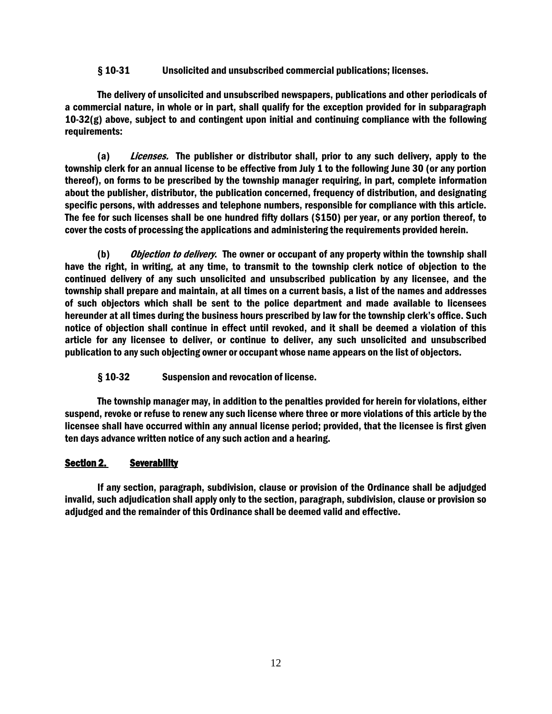§ 10-31 Unsolicited and unsubscribed commercial publications; licenses.

The delivery of unsolicited and unsubscribed newspapers, publications and other periodicals of a commercial nature, in whole or in part, shall qualify for the exception provided for in subparagraph 10-32(g) above, subject to and contingent upon initial and continuing compliance with the following requirements:

(a) Licenses. The publisher or distributor shall, prior to any such delivery, apply to the township clerk for an annual license to be effective from July 1 to the following June 30 (or any portion thereof), on forms to be prescribed by the township manager requiring, in part, complete information about the publisher, distributor, the publication concerned, frequency of distribution, and designating specific persons, with addresses and telephone numbers, responsible for compliance with this article. The fee for such licenses shall be one hundred fifty dollars (\$150) per year, or any portion thereof, to cover the costs of processing the applications and administering the requirements provided herein.

(b) Objection to delivery. The owner or occupant of any property within the township shall have the right, in writing, at any time, to transmit to the township clerk notice of objection to the continued delivery of any such unsolicited and unsubscribed publication by any licensee, and the township shall prepare and maintain, at all times on a current basis, a list of the names and addresses of such objectors which shall be sent to the police department and made available to licensees hereunder at all times during the business hours prescribed by law for the township clerk's office. Such notice of objection shall continue in effect until revoked, and it shall be deemed a violation of this article for any licensee to deliver, or continue to deliver, any such unsolicited and unsubscribed publication to any such objecting owner or occupant whose name appears on the list of objectors.

§ 10-32 Suspension and revocation of license.

The township manager may, in addition to the penalties provided for herein for violations, either suspend, revoke or refuse to renew any such license where three or more violations of this article by the licensee shall have occurred within any annual license period; provided, that the licensee is first given ten days advance written notice of any such action and a hearing.

# Section 2. Severability

If any section, paragraph, subdivision, clause or provision of the Ordinance shall be adjudged invalid, such adjudication shall apply only to the section, paragraph, subdivision, clause or provision so adjudged and the remainder of this Ordinance shall be deemed valid and effective.